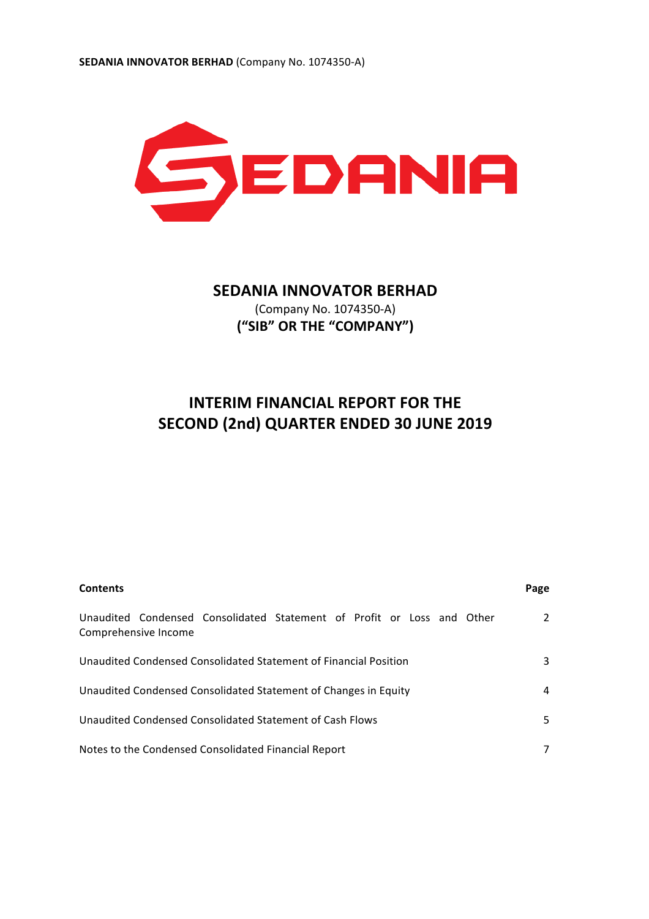

# **SEDANIA INNOVATOR BERHAD** (Company No. 1074350-A) **("SIB" OR THE "COMPANY")**

# **INTERIM FINANCIAL REPORT FOR THE SECOND (2nd) QUARTER ENDED 30 JUNE 2019**

| <b>Contents</b>                                                                                | Page |
|------------------------------------------------------------------------------------------------|------|
| Unaudited Condensed Consolidated Statement of Profit or Loss and Other<br>Comprehensive Income | 2    |
| Unaudited Condensed Consolidated Statement of Financial Position                               | 3    |
| Unaudited Condensed Consolidated Statement of Changes in Equity                                | 4    |
| Unaudited Condensed Consolidated Statement of Cash Flows                                       | 5.   |
| Notes to the Condensed Consolidated Financial Report                                           |      |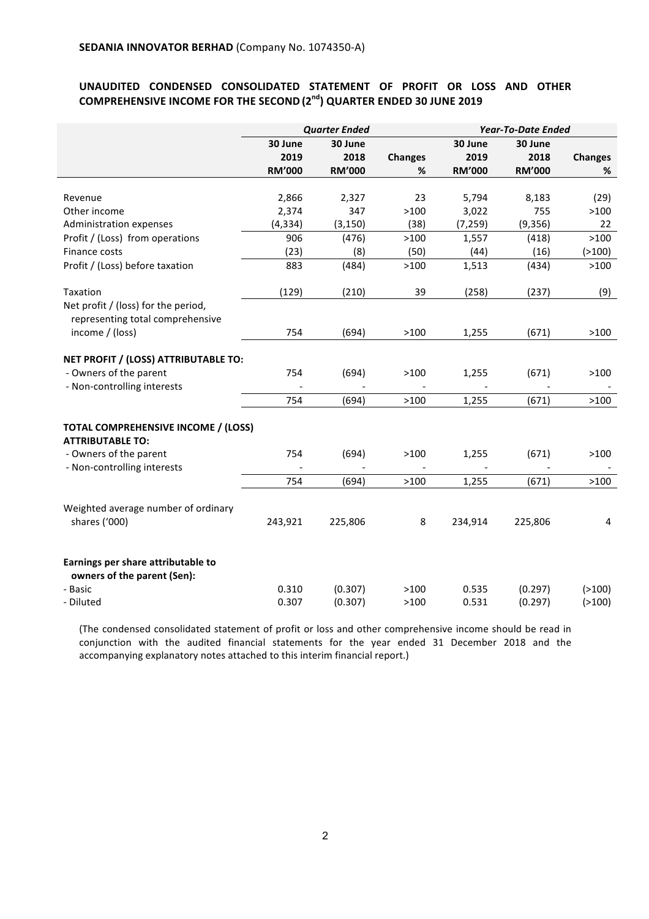# UNAUDITED CONDENSED CONSOLIDATED STATEMENT OF PROFIT OR LOSS AND OTHER **COMPREHENSIVE INCOME FOR THE SECOND** (2<sup>nd</sup>) QUARTER ENDED 30 JUNE 2019

|                                                                                                                         | <b>Quarter Ended</b> |                |                | <b>Year-To-Date Ended</b> |                |                |
|-------------------------------------------------------------------------------------------------------------------------|----------------------|----------------|----------------|---------------------------|----------------|----------------|
|                                                                                                                         | 30 June              | 30 June        |                | 30 June                   | 30 June        |                |
|                                                                                                                         | 2019                 | 2018           | <b>Changes</b> | 2019                      | 2018           | <b>Changes</b> |
|                                                                                                                         | <b>RM'000</b>        | <b>RM'000</b>  | %              | <b>RM'000</b>             | <b>RM'000</b>  | %              |
|                                                                                                                         |                      |                |                |                           |                |                |
| Revenue                                                                                                                 | 2,866                | 2,327          | 23             | 5,794                     | 8,183          | (29)           |
| Other income                                                                                                            | 2,374                | 347            | >100           | 3,022                     | 755            | >100           |
| Administration expenses                                                                                                 | (4, 334)             | (3, 150)       | (38)           | (7, 259)                  | (9, 356)       | 22             |
| Profit / (Loss) from operations                                                                                         | 906                  | (476)          | >100           | 1,557                     | (418)          | >100           |
| Finance costs                                                                                                           | (23)                 | (8)            | (50)           | (44)                      | (16)           | ( > 100)       |
| Profit / (Loss) before taxation                                                                                         | 883                  | (484)          | >100           | 1,513                     | (434)          | >100           |
| Taxation                                                                                                                | (129)                | (210)          | 39             | (258)                     | (237)          | (9)            |
| Net profit / (loss) for the period,<br>representing total comprehensive                                                 |                      |                |                |                           |                |                |
| income / (loss)                                                                                                         | 754                  | (694)          | >100           | 1,255                     | (671)          | >100           |
| NET PROFIT / (LOSS) ATTRIBUTABLE TO:<br>- Owners of the parent<br>- Non-controlling interests                           | 754                  | (694)          | >100           | 1,255                     | (671)          | >100           |
|                                                                                                                         | 754                  | (694)          | >100           | 1,255                     | (671)          | >100           |
| TOTAL COMPREHENSIVE INCOME / (LOSS)<br><b>ATTRIBUTABLE TO:</b><br>- Owners of the parent<br>- Non-controlling interests | 754<br>754           | (694)<br>(694) | >100<br>>100   | 1,255<br>1,255            | (671)<br>(671) | >100<br>>100   |
|                                                                                                                         |                      |                |                |                           |                |                |
| Weighted average number of ordinary<br>shares ('000)                                                                    | 243,921              | 225,806        | 8              | 234,914                   | 225,806        | 4              |
| Earnings per share attributable to<br>owners of the parent (Sen):                                                       |                      |                |                |                           |                |                |
| - Basic                                                                                                                 | 0.310                | (0.307)        | >100           | 0.535                     | (0.297)        | ( > 100)       |
| - Diluted                                                                                                               | 0.307                | (0.307)        | >100           | 0.531                     | (0.297)        | ( > 100)       |

(The condensed consolidated statement of profit or loss and other comprehensive income should be read in conjunction with the audited financial statements for the year ended 31 December 2018 and the accompanying explanatory notes attached to this interim financial report.)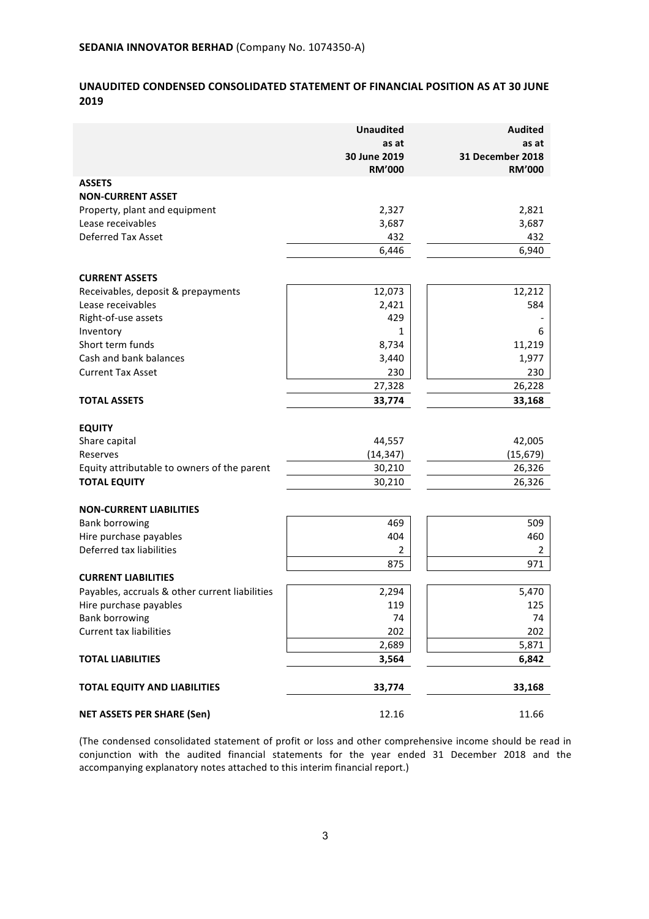# **UNAUDITED CONDENSED CONSOLIDATED STATEMENT OF FINANCIAL POSITION AS AT 30 JUNE 2019**

|                                                         | <b>Unaudited</b><br>as at<br>30 June 2019<br><b>RM'000</b> | <b>Audited</b><br>as at<br>31 December 2018<br><b>RM'000</b> |
|---------------------------------------------------------|------------------------------------------------------------|--------------------------------------------------------------|
| <b>ASSETS</b><br><b>NON-CURRENT ASSET</b>               |                                                            |                                                              |
| Property, plant and equipment                           | 2,327                                                      | 2,821                                                        |
| Lease receivables                                       | 3,687                                                      | 3,687                                                        |
| Deferred Tax Asset                                      | 432                                                        | 432                                                          |
|                                                         | 6,446                                                      | 6,940                                                        |
|                                                         |                                                            |                                                              |
| <b>CURRENT ASSETS</b>                                   |                                                            |                                                              |
| Receivables, deposit & prepayments<br>Lease receivables | 12,073<br>2,421                                            | 12,212<br>584                                                |
| Right-of-use assets                                     | 429                                                        |                                                              |
| Inventory                                               | 1                                                          | 6                                                            |
| Short term funds                                        | 8,734                                                      | 11,219                                                       |
| Cash and bank balances                                  | 3,440                                                      | 1,977                                                        |
| <b>Current Tax Asset</b>                                | 230                                                        | 230                                                          |
|                                                         | 27,328                                                     | 26,228                                                       |
| <b>TOTAL ASSETS</b>                                     | 33,774                                                     | 33,168                                                       |
|                                                         |                                                            |                                                              |
| <b>EQUITY</b>                                           |                                                            |                                                              |
| Share capital                                           | 44,557                                                     | 42,005                                                       |
| Reserves                                                | (14, 347)                                                  | (15, 679)                                                    |
| Equity attributable to owners of the parent             | 30,210                                                     | 26,326                                                       |
| <b>TOTAL EQUITY</b>                                     | 30,210                                                     | 26,326                                                       |
| <b>NON-CURRENT LIABILITIES</b>                          |                                                            |                                                              |
| <b>Bank borrowing</b>                                   | 469                                                        | 509                                                          |
| Hire purchase payables                                  | 404                                                        | 460                                                          |
| Deferred tax liabilities                                | 2                                                          | 2                                                            |
|                                                         | 875                                                        | 971                                                          |
| <b>CURRENT LIABILITIES</b>                              |                                                            |                                                              |
| Payables, accruals & other current liabilities          | 2,294                                                      | 5,470                                                        |
| Hire purchase payables                                  | 119                                                        | 125                                                          |
| <b>Bank borrowing</b>                                   | 74                                                         | 74                                                           |
| <b>Current tax liabilities</b>                          | 202                                                        | 202                                                          |
|                                                         | 2,689                                                      | 5,871                                                        |
| <b>TOTAL LIABILITIES</b>                                | 3,564                                                      | 6,842                                                        |
| <b>TOTAL EQUITY AND LIABILITIES</b>                     | 33,774                                                     | 33,168                                                       |
| <b>NET ASSETS PER SHARE (Sen)</b>                       | 12.16                                                      | 11.66                                                        |

(The condensed consolidated statement of profit or loss and other comprehensive income should be read in conjunction with the audited financial statements for the year ended 31 December 2018 and the accompanying explanatory notes attached to this interim financial report.)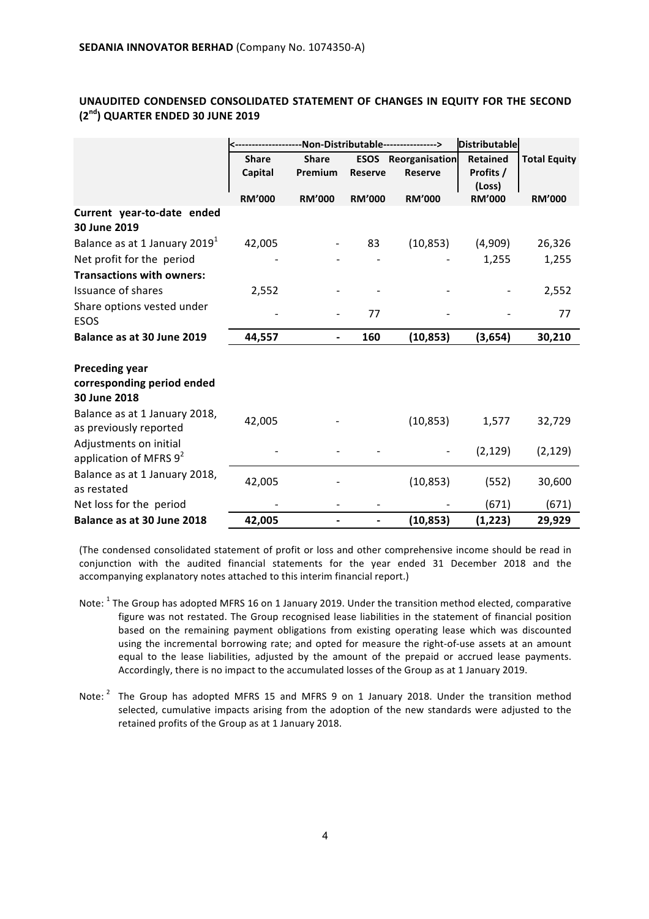|                                                                     |               |               | -Non-Distributable----------------> | <b>Distributable</b>       |                     |                     |
|---------------------------------------------------------------------|---------------|---------------|-------------------------------------|----------------------------|---------------------|---------------------|
|                                                                     | <b>Share</b>  | <b>Share</b>  |                                     | <b>ESOS</b> Reorganisation | <b>Retained</b>     | <b>Total Equity</b> |
|                                                                     | Capital       | Premium       | <b>Reserve</b>                      | <b>Reserve</b>             | Profits /<br>(Loss) |                     |
|                                                                     | <b>RM'000</b> | <b>RM'000</b> | <b>RM'000</b>                       | <b>RM'000</b>              | <b>RM'000</b>       | <b>RM'000</b>       |
| Current year-to-date ended<br>30 June 2019                          |               |               |                                     |                            |                     |                     |
| Balance as at 1 January 2019 <sup>1</sup>                           | 42,005        |               | 83                                  | (10, 853)                  | (4,909)             | 26,326              |
| Net profit for the period                                           |               |               |                                     |                            | 1,255               | 1,255               |
| <b>Transactions with owners:</b>                                    |               |               |                                     |                            |                     |                     |
| <b>Issuance of shares</b>                                           | 2,552         |               |                                     |                            |                     | 2,552               |
| Share options vested under<br><b>ESOS</b>                           |               |               | 77                                  |                            |                     | 77                  |
| Balance as at 30 June 2019                                          | 44,557        |               | 160                                 | (10, 853)                  | (3,654)             | 30,210              |
| <b>Preceding year</b><br>corresponding period ended<br>30 June 2018 |               |               |                                     |                            |                     |                     |
| Balance as at 1 January 2018,<br>as previously reported             | 42,005        |               |                                     | (10, 853)                  | 1,577               | 32,729              |
| Adjustments on initial<br>application of MFRS $9^2$                 |               |               |                                     |                            | (2, 129)            | (2, 129)            |
| Balance as at 1 January 2018,<br>as restated                        | 42,005        |               |                                     | (10, 853)                  | (552)               | 30,600              |
| Net loss for the period                                             |               |               |                                     |                            | (671)               | (671)               |
| Balance as at 30 June 2018                                          | 42,005        |               |                                     | (10, 853)                  | (1, 223)            | 29,929              |

# **UNAUDITED CONDENSED CONSOLIDATED STATEMENT OF CHANGES IN EQUITY FOR THE SECOND (2nd) QUARTER ENDED 30 JUNE 2019**

(The condensed consolidated statement of profit or loss and other comprehensive income should be read in conjunction with the audited financial statements for the year ended 31 December 2018 and the accompanying explanatory notes attached to this interim financial report.)

- Note: <sup>1</sup> The Group has adopted MFRS 16 on 1 January 2019. Under the transition method elected, comparative figure was not restated. The Group recognised lease liabilities in the statement of financial position based on the remaining payment obligations from existing operating lease which was discounted using the incremental borrowing rate; and opted for measure the right-of-use assets at an amount equal to the lease liabilities, adjusted by the amount of the prepaid or accrued lease payments. Accordingly, there is no impact to the accumulated losses of the Group as at 1 January 2019.
- Note:<sup>2</sup> The Group has adopted MFRS 15 and MFRS 9 on 1 January 2018. Under the transition method selected, cumulative impacts arising from the adoption of the new standards were adjusted to the retained profits of the Group as at 1 January 2018.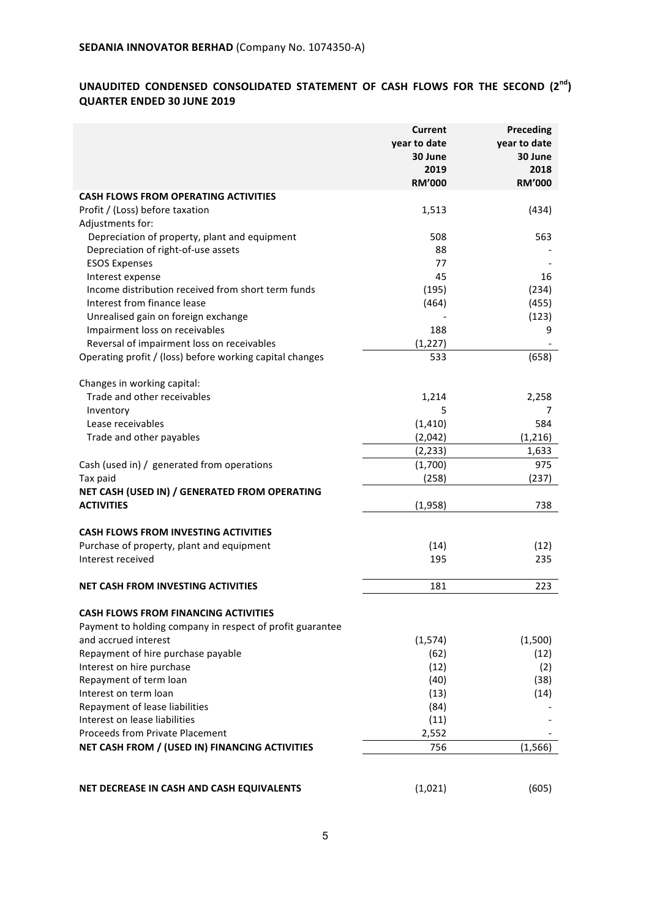# UNAUDITED CONDENSED CONSOLIDATED STATEMENT OF CASH FLOWS FOR THE SECOND  $(2^{nd})$ **QUARTER ENDED 30 JUNE 2019**

|                                                           | <b>Current</b><br>year to date<br>30 June<br>2019<br><b>RM'000</b> | Preceding<br>year to date<br>30 June<br>2018<br><b>RM'000</b> |
|-----------------------------------------------------------|--------------------------------------------------------------------|---------------------------------------------------------------|
| <b>CASH FLOWS FROM OPERATING ACTIVITIES</b>               |                                                                    |                                                               |
| Profit / (Loss) before taxation<br>Adjustments for:       | 1,513                                                              | (434)                                                         |
| Depreciation of property, plant and equipment             | 508<br>88                                                          | 563                                                           |
| Depreciation of right-of-use assets                       | 77                                                                 |                                                               |
| <b>ESOS Expenses</b>                                      | 45                                                                 | 16                                                            |
| Interest expense                                          |                                                                    |                                                               |
| Income distribution received from short term funds        | (195)                                                              | (234)                                                         |
| Interest from finance lease                               | (464)                                                              | (455)                                                         |
| Unrealised gain on foreign exchange                       |                                                                    | (123)                                                         |
| Impairment loss on receivables                            | 188                                                                | 9                                                             |
| Reversal of impairment loss on receivables                | (1, 227)                                                           |                                                               |
| Operating profit / (loss) before working capital changes  | 533                                                                | (658)                                                         |
| Changes in working capital:                               |                                                                    |                                                               |
| Trade and other receivables                               | 1,214                                                              | 2,258                                                         |
| Inventory                                                 | 5                                                                  | 7                                                             |
| Lease receivables                                         | (1, 410)                                                           | 584                                                           |
| Trade and other payables                                  | (2,042)                                                            | (1,216)                                                       |
|                                                           | (2, 233)                                                           | 1,633                                                         |
| Cash (used in) / generated from operations                | (1,700)                                                            | 975                                                           |
| Tax paid                                                  | (258)                                                              | (237)                                                         |
| NET CASH (USED IN) / GENERATED FROM OPERATING             |                                                                    |                                                               |
| <b>ACTIVITIES</b>                                         | (1,958)                                                            | 738                                                           |
| <b>CASH FLOWS FROM INVESTING ACTIVITIES</b>               |                                                                    |                                                               |
| Purchase of property, plant and equipment                 | (14)                                                               | (12)                                                          |
| Interest received                                         | 195                                                                | 235                                                           |
| <b>NET CASH FROM INVESTING ACTIVITIES</b>                 | 181                                                                | 223                                                           |
|                                                           |                                                                    |                                                               |
| <b>CASH FLOWS FROM FINANCING ACTIVITIES</b>               |                                                                    |                                                               |
| Payment to holding company in respect of profit guarantee |                                                                    |                                                               |
| and accrued interest                                      | (1, 574)                                                           | (1,500)                                                       |
| Repayment of hire purchase payable                        | (62)                                                               | (12)                                                          |
| Interest on hire purchase                                 | (12)                                                               | (2)                                                           |
| Repayment of term loan                                    | (40)                                                               | (38)                                                          |
| Interest on term loan                                     | (13)                                                               | (14)                                                          |
| Repayment of lease liabilities                            | (84)                                                               |                                                               |
| Interest on lease liabilities                             | (11)                                                               |                                                               |
| <b>Proceeds from Private Placement</b>                    | 2,552                                                              |                                                               |
| NET CASH FROM / (USED IN) FINANCING ACTIVITIES            | 756                                                                | (1, 566)                                                      |
|                                                           |                                                                    |                                                               |
| NET DECREASE IN CASH AND CASH EQUIVALENTS                 | (1,021)                                                            | (605)                                                         |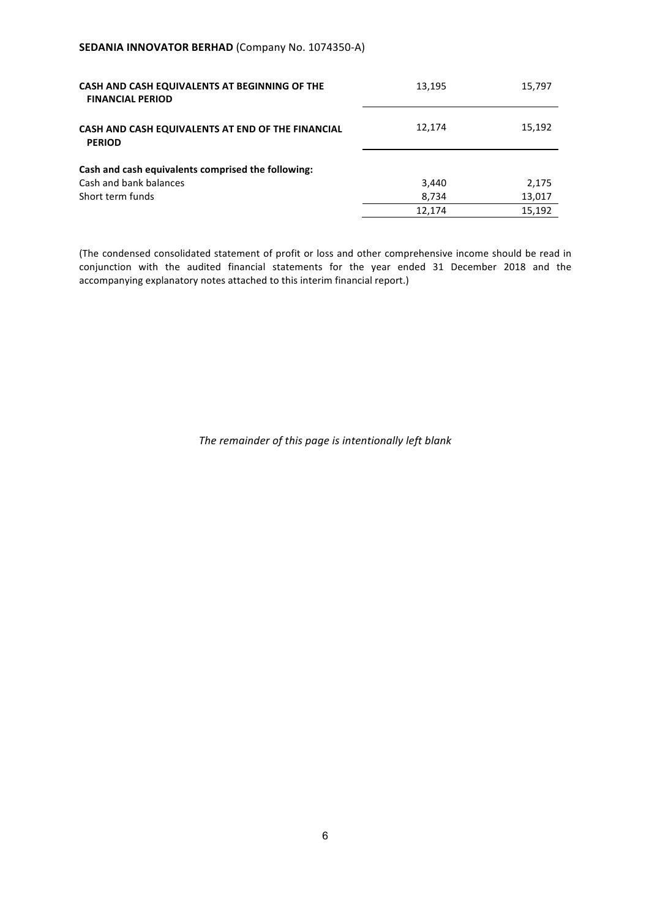## **SEDANIA INNOVATOR BERHAD (Company No. 1074350-A)**

| CASH AND CASH EQUIVALENTS AT BEGINNING OF THE<br><b>FINANCIAL PERIOD</b> | 13,195 | 15,797 |
|--------------------------------------------------------------------------|--------|--------|
| CASH AND CASH EQUIVALENTS AT END OF THE FINANCIAL<br><b>PERIOD</b>       | 12,174 | 15,192 |
| Cash and cash equivalents comprised the following:                       |        |        |
| Cash and bank balances                                                   | 3,440  | 2,175  |
| Short term funds                                                         | 8,734  | 13,017 |
|                                                                          | 12,174 | 15.192 |

(The condensed consolidated statement of profit or loss and other comprehensive income should be read in conjunction with the audited financial statements for the year ended 31 December 2018 and the accompanying explanatory notes attached to this interim financial report.)

The remainder of this page is intentionally left blank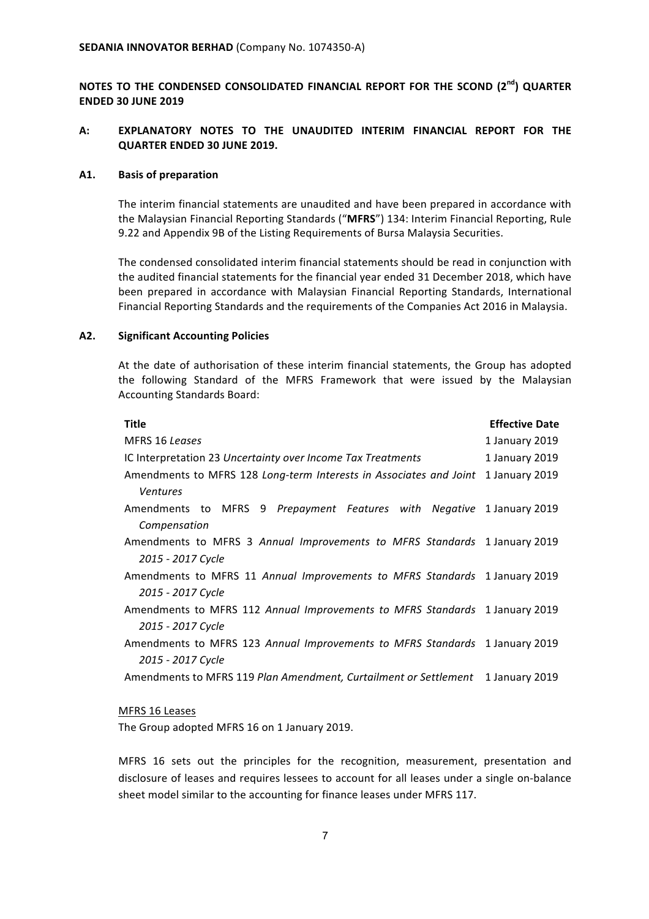NOTES TO THE CONDENSED CONSOLIDATED FINANCIAL REPORT FOR THE SCOND (2<sup>nd</sup>) QUARTER **ENDED 30 JUNE 2019**

# A: **EXPLANATORY NOTES TO THE UNAUDITED INTERIM FINANCIAL REPORT FOR THE QUARTER ENDED 30 JUNE 2019.**

#### **A1. Basis of preparation**

The interim financial statements are unaudited and have been prepared in accordance with the Malaysian Financial Reporting Standards ("MFRS") 134: Interim Financial Reporting, Rule 9.22 and Appendix 9B of the Listing Requirements of Bursa Malaysia Securities.

The condensed consolidated interim financial statements should be read in conjunction with the audited financial statements for the financial year ended 31 December 2018, which have been prepared in accordance with Malaysian Financial Reporting Standards, International Financial Reporting Standards and the requirements of the Companies Act 2016 in Malaysia.

#### **A2. Significant Accounting Policies**

At the date of authorisation of these interim financial statements, the Group has adopted the following Standard of the MFRS Framework that were issued by the Malaysian Accounting Standards Board:

| <b>Title</b>                                                                | <b>Effective Date</b> |
|-----------------------------------------------------------------------------|-----------------------|
| MFRS 16 Leases                                                              | 1 January 2019        |
| IC Interpretation 23 Uncertainty over Income Tax Treatments                 | 1 January 2019        |
| Amendments to MFRS 128 Long-term Interests in Associates and Joint          | 1 January 2019        |
| <b>Ventures</b>                                                             |                       |
| Amendments to MFRS 9 Prepayment Features with Negative 1 January 2019       |                       |
| Compensation                                                                |                       |
| Amendments to MFRS 3 Annual Improvements to MFRS Standards 1 January 2019   |                       |
| 2015 - 2017 Cycle                                                           |                       |
| Amendments to MFRS 11 Annual Improvements to MFRS Standards 1 January 2019  |                       |
| 2015 - 2017 Cycle                                                           |                       |
| Amendments to MFRS 112 Annual Improvements to MFRS Standards 1 January 2019 |                       |
| 2015 - 2017 Cycle                                                           |                       |
| Amendments to MFRS 123 Annual Improvements to MFRS Standards 1 January 2019 |                       |
| 2015 - 2017 Cycle                                                           |                       |
| Amendments to MFRS 119 Plan Amendment, Curtailment or Settlement            | 1 January 2019        |

#### MFRS 16 Leases

The Group adopted MFRS 16 on 1 January 2019.

MFRS 16 sets out the principles for the recognition, measurement, presentation and disclosure of leases and requires lessees to account for all leases under a single on-balance sheet model similar to the accounting for finance leases under MFRS 117.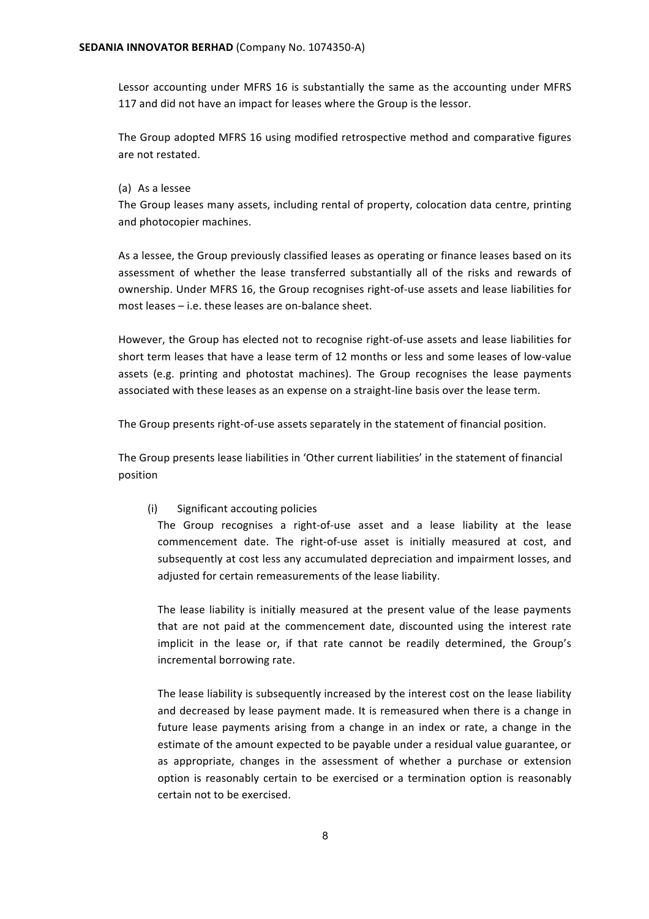Lessor accounting under MFRS 16 is substantially the same as the accounting under MFRS 117 and did not have an impact for leases where the Group is the lessor.

The Group adopted MFRS 16 using modified retrospective method and comparative figures are not restated.

#### (a) As a lessee

The Group leases many assets, including rental of property, colocation data centre, printing and photocopier machines.

As a lessee, the Group previously classified leases as operating or finance leases based on its assessment of whether the lease transferred substantially all of the risks and rewards of ownership. Under MFRS 16, the Group recognises right-of-use assets and lease liabilities for most leases  $-$  i.e. these leases are on-balance sheet.

However, the Group has elected not to recognise right-of-use assets and lease liabilities for short term leases that have a lease term of 12 months or less and some leases of low-value assets (e.g. printing and photostat machines). The Group recognises the lease payments associated with these leases as an expense on a straight-line basis over the lease term.

The Group presents right-of-use assets separately in the statement of financial position.

The Group presents lease liabilities in 'Other current liabilities' in the statement of financial position

#### (i) Significant accouting policies

The Group recognises a right-of-use asset and a lease liability at the lease commencement date. The right-of-use asset is initially measured at cost, and subsequently at cost less any accumulated depreciation and impairment losses, and adjusted for certain remeasurements of the lease liability.

The lease liability is initially measured at the present value of the lease payments that are not paid at the commencement date, discounted using the interest rate implicit in the lease or, if that rate cannot be readily determined, the Group's incremental borrowing rate.

The lease liability is subsequently increased by the interest cost on the lease liability and decreased by lease payment made. It is remeasured when there is a change in future lease payments arising from a change in an index or rate, a change in the estimate of the amount expected to be payable under a residual value guarantee, or as appropriate, changes in the assessment of whether a purchase or extension option is reasonably certain to be exercised or a termination option is reasonably certain not to be exercised.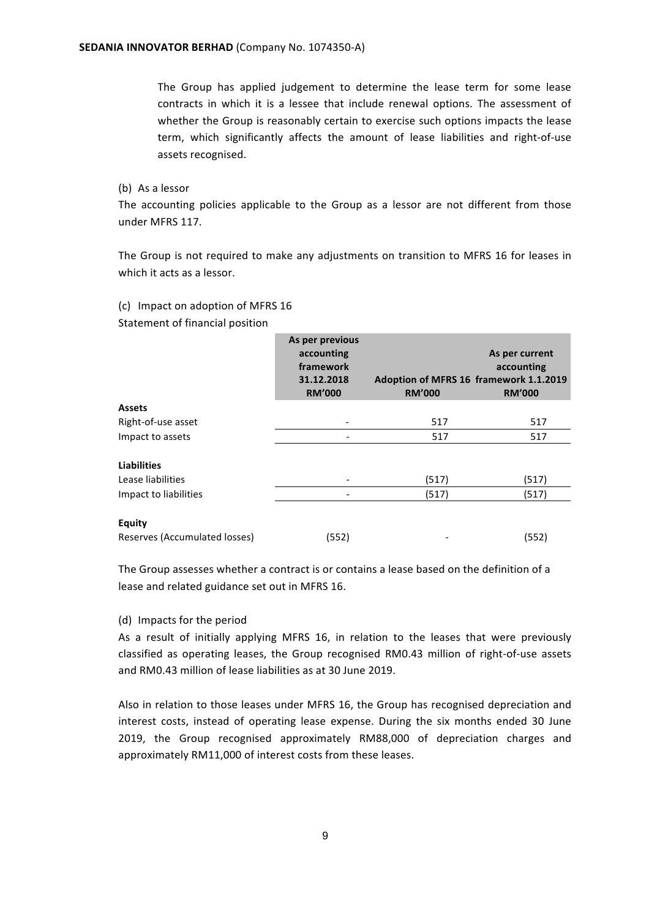The Group has applied judgement to determine the lease term for some lease contracts in which it is a lessee that include renewal options. The assessment of whether the Group is reasonably certain to exercise such options impacts the lease term, which significantly affects the amount of lease liabilities and right-of-use assets recognised.

(b) As a lessor

The accounting policies applicable to the Group as a lessor are not different from those under MFRS 117.

The Group is not required to make any adjustments on transition to MFRS 16 for leases in which it acts as a lessor.

(c) Impact on adoption of MFRS 16 Statement of financial position

|                               | As per previous<br>accounting<br>framework<br>31.12.2018<br><b>RM'000</b> | Adoption of MFRS 16 framework 1.1.2019<br><b>RM'000</b> | As per current<br>accounting<br><b>RM'000</b> |
|-------------------------------|---------------------------------------------------------------------------|---------------------------------------------------------|-----------------------------------------------|
| <b>Assets</b>                 |                                                                           |                                                         |                                               |
| Right-of-use asset            |                                                                           | 517                                                     | 517                                           |
| Impact to assets              |                                                                           | 517                                                     | 517                                           |
| <b>Liabilities</b>            |                                                                           |                                                         |                                               |
| Lease liabilities             |                                                                           | (517)                                                   | (517)                                         |
| Impact to liabilities         |                                                                           | (517)                                                   | (517)                                         |
| <b>Equity</b>                 |                                                                           |                                                         |                                               |
| Reserves (Accumulated losses) | (552)                                                                     |                                                         | (552)                                         |

The Group assesses whether a contract is or contains a lease based on the definition of a lease and related guidance set out in MFRS 16.

#### (d) Impacts for the period

As a result of initially applying MFRS 16, in relation to the leases that were previously classified as operating leases, the Group recognised RM0.43 million of right-of-use assets and RM0.43 million of lease liabilities as at 30 June 2019.

Also in relation to those leases under MFRS 16, the Group has recognised depreciation and interest costs, instead of operating lease expense. During the six months ended 30 June 2019, the Group recognised approximately RM88,000 of depreciation charges and approximately RM11,000 of interest costs from these leases.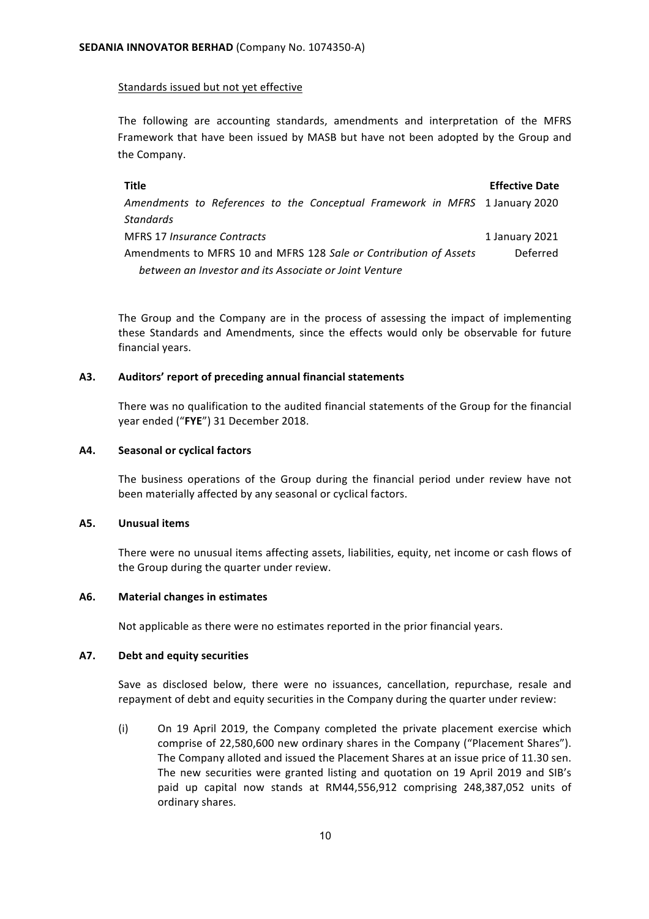## Standards issued but not yet effective

The following are accounting standards, amendments and interpretation of the MFRS Framework that have been issued by MASB but have not been adopted by the Group and the Company.

**Title Effective Date** Amendments to References to the Conceptual Framework in MFRS 1 January 2020 *Standards* MFRS 17 *Insurance Contracts* 1 January 2021 Amendments to MFRS 10 and MFRS 128 Sale or Contribution of Assets *between an Investor and its Associate or Joint Venture* Deferred

The Group and the Company are in the process of assessing the impact of implementing these Standards and Amendments, since the effects would only be observable for future financial years.

## **A3. Auditors' report of preceding annual financial statements**

There was no qualification to the audited financial statements of the Group for the financial year ended ("FYE") 31 December 2018.

#### **A4. Seasonal or cyclical factors**

The business operations of the Group during the financial period under review have not been materially affected by any seasonal or cyclical factors.

#### **A5. Unusual items**

There were no unusual items affecting assets, liabilities, equity, net income or cash flows of the Group during the quarter under review.

#### A6. Material changes in estimates

Not applicable as there were no estimates reported in the prior financial years.

#### **A7. Debt and equity securities**

Save as disclosed below, there were no issuances, cancellation, repurchase, resale and repayment of debt and equity securities in the Company during the quarter under review:

(i) On 19 April 2019, the Company completed the private placement exercise which comprise of 22,580,600 new ordinary shares in the Company ("Placement Shares"). The Company alloted and issued the Placement Shares at an issue price of 11.30 sen. The new securities were granted listing and quotation on 19 April 2019 and SIB's paid up capital now stands at RM44,556,912 comprising 248,387,052 units of ordinary shares.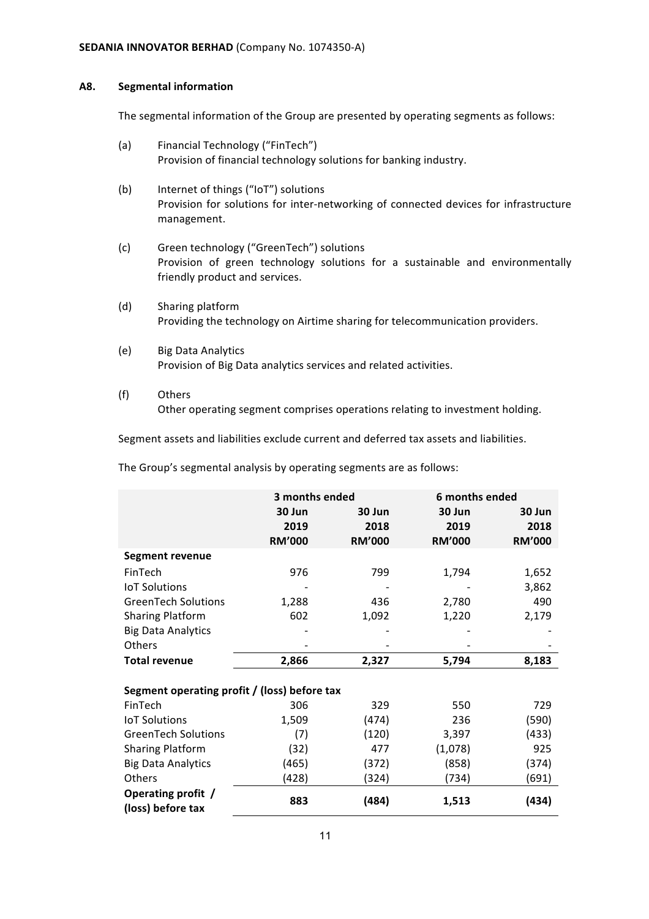#### **A8. Segmental information**

The segmental information of the Group are presented by operating segments as follows:

- (a) Financial Technology ("FinTech") Provision of financial technology solutions for banking industry.
- (b) Internet of things ("IoT") solutions Provision for solutions for inter-networking of connected devices for infrastructure management.
- (c) Green technology ("GreenTech") solutions Provision of green technology solutions for a sustainable and environmentally friendly product and services.
- (d) Sharing platform Providing the technology on Airtime sharing for telecommunication providers.
- (e) Big Data Analytics Provision of Big Data analytics services and related activities.
- (f) Others Other operating segment comprises operations relating to investment holding.

Segment assets and liabilities exclude current and deferred tax assets and liabilities.

The Group's segmental analysis by operating segments are as follows:

|                                              |               | 3 months ended | 6 months ended |               |  |
|----------------------------------------------|---------------|----------------|----------------|---------------|--|
|                                              | 30 Jun        | 30 Jun         | 30 Jun         | 30 Jun        |  |
|                                              | 2019          | 2018           | 2019           | 2018          |  |
|                                              | <b>RM'000</b> | <b>RM'000</b>  | <b>RM'000</b>  | <b>RM'000</b> |  |
| <b>Segment revenue</b>                       |               |                |                |               |  |
| FinTech                                      | 976           | 799            | 1,794          | 1,652         |  |
| <b>IoT Solutions</b>                         |               |                |                | 3,862         |  |
| <b>GreenTech Solutions</b>                   | 1,288         | 436            | 2,780          | 490           |  |
| <b>Sharing Platform</b>                      | 602           | 1,092          | 1,220          | 2,179         |  |
| <b>Big Data Analytics</b>                    |               |                |                |               |  |
| Others                                       |               |                |                |               |  |
| <b>Total revenue</b>                         | 2,866         | 2,327          | 5,794          | 8,183         |  |
|                                              |               |                |                |               |  |
| Segment operating profit / (loss) before tax |               |                |                |               |  |
| FinTech                                      | 306           | 329            | 550            | 729           |  |
| <b>IoT Solutions</b>                         | 1,509         | (474)          | 236            | (590)         |  |
| <b>GreenTech Solutions</b>                   | (7)           | (120)          | 3,397          | (433)         |  |
| <b>Sharing Platform</b>                      | (32)          | 477            | (1,078)        | 925           |  |
| <b>Big Data Analytics</b>                    | (465)         | (372)          | (858)          | (374)         |  |
| Others                                       | (428)         | (324)          | (734)          | (691)         |  |
| Operating profit /<br>(loss) before tax      | 883           | (484)          | 1,513          | (434)         |  |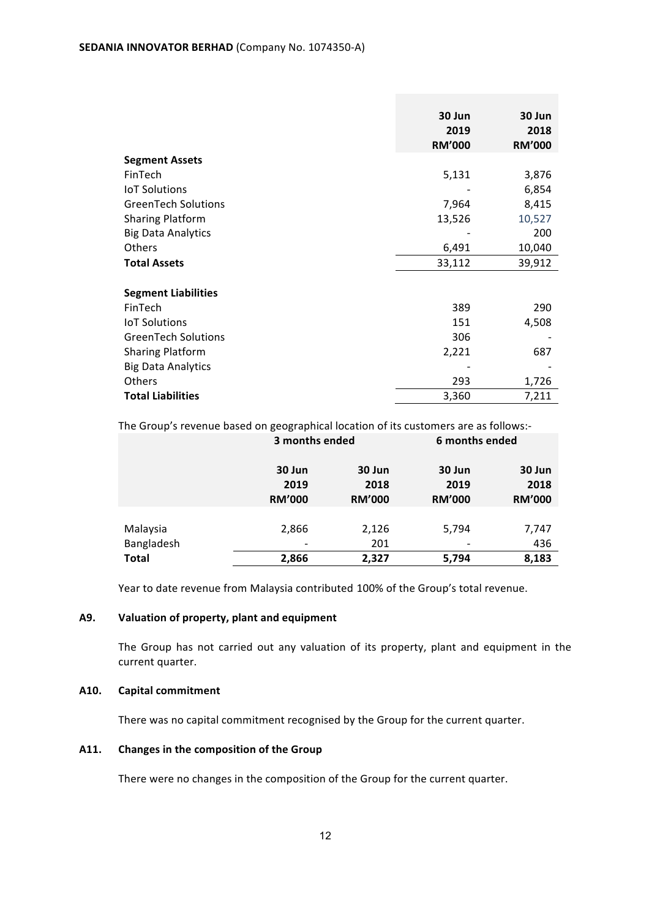|                            | 30 Jun<br>2019<br><b>RM'000</b> | 30 Jun<br>2018<br><b>RM'000</b> |
|----------------------------|---------------------------------|---------------------------------|
| <b>Segment Assets</b>      |                                 |                                 |
| FinTech                    | 5,131                           | 3,876                           |
| <b>IoT Solutions</b>       |                                 | 6,854                           |
| <b>GreenTech Solutions</b> | 7,964                           | 8,415                           |
| <b>Sharing Platform</b>    | 13,526                          | 10,527                          |
| <b>Big Data Analytics</b>  |                                 | 200                             |
| <b>Others</b>              | 6,491                           | 10,040                          |
| <b>Total Assets</b>        | 33,112                          | 39,912                          |
| <b>Segment Liabilities</b> |                                 |                                 |
| FinTech                    | 389                             | 290                             |
| <b>IoT Solutions</b>       | 151                             | 4,508                           |
| <b>GreenTech Solutions</b> | 306                             |                                 |
| <b>Sharing Platform</b>    | 2,221                           | 687                             |
| <b>Big Data Analytics</b>  |                                 |                                 |
| Others                     | 293                             | 1,726                           |
| <b>Total Liabilities</b>   | 3,360                           | 7,211                           |

The Group's revenue based on geographical location of its customers are as follows:-

|                        | 3 months ended                  |                                 | 6 months ended                  |                                 |
|------------------------|---------------------------------|---------------------------------|---------------------------------|---------------------------------|
|                        | 30 Jun<br>2019<br><b>RM'000</b> | 30 Jun<br>2018<br><b>RM'000</b> | 30 Jun<br>2019<br><b>RM'000</b> | 30 Jun<br>2018<br><b>RM'000</b> |
| Malaysia<br>Bangladesh | 2,866                           | 2,126<br>201                    | 5,794                           | 7,747<br>436                    |
| <b>Total</b>           | 2,866                           | 2,327                           | 5,794                           | 8,183                           |

Year to date revenue from Malaysia contributed 100% of the Group's total revenue.

# A9. Valuation of property, plant and equipment

The Group has not carried out any valuation of its property, plant and equipment in the current quarter.

# **A10. Capital commitment**

There was no capital commitment recognised by the Group for the current quarter.

# A11. Changes in the composition of the Group

There were no changes in the composition of the Group for the current quarter.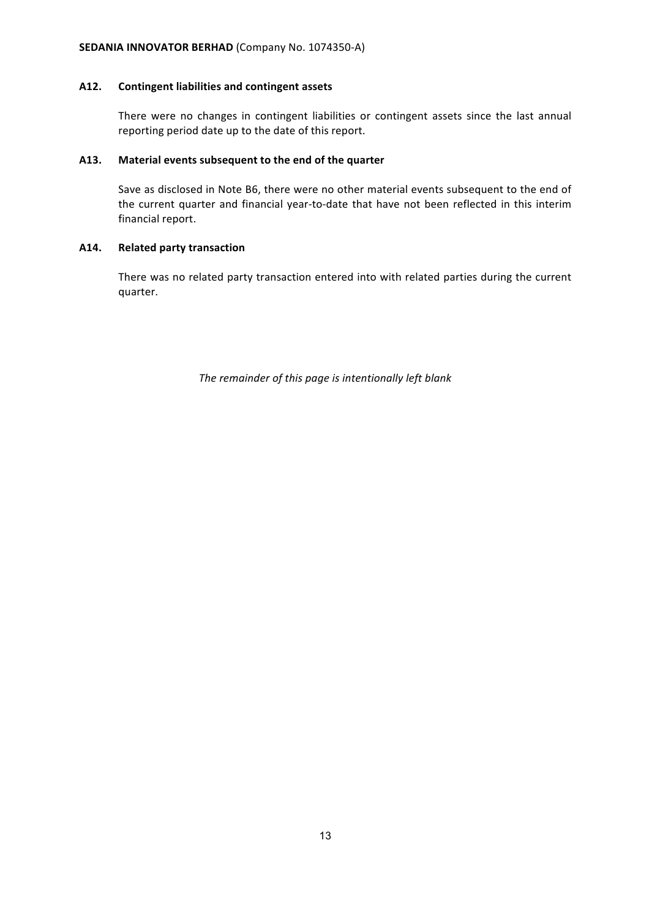## A12. Contingent liabilities and contingent assets

There were no changes in contingent liabilities or contingent assets since the last annual reporting period date up to the date of this report.

#### A13. Material events subsequent to the end of the quarter

Save as disclosed in Note B6, there were no other material events subsequent to the end of the current quarter and financial year-to-date that have not been reflected in this interim financial report.

# **A14. Related party transaction**

There was no related party transaction entered into with related parties during the current quarter.

The remainder of this page is intentionally left blank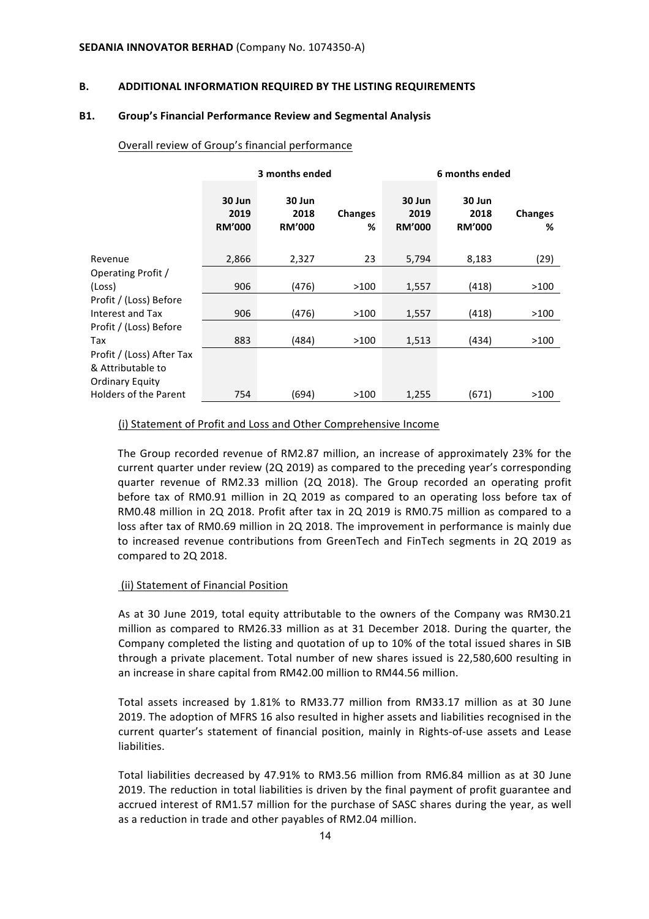#### **B. ADDITIONAL INFORMATION REQUIRED BY THE LISTING REQUIREMENTS**

#### **B1.** Group's Financial Performance Review and Segmental Analysis

|                              | 3 months ended                  |                                 |                     | 6 months ended                  |                                 |                     |
|------------------------------|---------------------------------|---------------------------------|---------------------|---------------------------------|---------------------------------|---------------------|
|                              | 30 Jun<br>2019<br><b>RM'000</b> | 30 Jun<br>2018<br><b>RM'000</b> | <b>Changes</b><br>% | 30 Jun<br>2019<br><b>RM'000</b> | 30 Jun<br>2018<br><b>RM'000</b> | <b>Changes</b><br>% |
| Revenue                      | 2,866                           | 2,327                           | 23                  | 5,794                           | 8,183                           | (29)                |
| Operating Profit /           |                                 |                                 |                     |                                 |                                 |                     |
| (Loss)                       | 906                             | (476)                           | >100                | 1,557                           | (418)                           | >100                |
| Profit / (Loss) Before       |                                 |                                 |                     |                                 |                                 |                     |
| Interest and Tax             | 906                             | (476)                           | >100                | 1,557                           | (418)                           | >100                |
| Profit / (Loss) Before       |                                 |                                 |                     |                                 |                                 |                     |
| Tax                          | 883                             | (484)                           | >100                | 1,513                           | (434)                           | >100                |
| Profit / (Loss) After Tax    |                                 |                                 |                     |                                 |                                 |                     |
| & Attributable to            |                                 |                                 |                     |                                 |                                 |                     |
| <b>Ordinary Equity</b>       |                                 |                                 |                     |                                 |                                 |                     |
| <b>Holders of the Parent</b> | 754                             | (694)                           | >100                | 1,255                           | (671)                           | >100                |

## Overall review of Group's financial performance

## (i) Statement of Profit and Loss and Other Comprehensive Income

The Group recorded revenue of RM2.87 million, an increase of approximately 23% for the current quarter under review (2Q 2019) as compared to the preceding year's corresponding quarter revenue of RM2.33 million (2Q 2018). The Group recorded an operating profit before tax of RM0.91 million in 2Q 2019 as compared to an operating loss before tax of RM0.48 million in 2Q 2018. Profit after tax in 2Q 2019 is RM0.75 million as compared to a loss after tax of RM0.69 million in 2Q 2018. The improvement in performance is mainly due to increased revenue contributions from GreenTech and FinTech segments in 2Q 2019 as compared to 2Q 2018.

# (ii) Statement of Financial Position

As at 30 June 2019, total equity attributable to the owners of the Company was RM30.21 million as compared to RM26.33 million as at 31 December 2018. During the quarter, the Company completed the listing and quotation of up to 10% of the total issued shares in SIB through a private placement. Total number of new shares issued is 22,580,600 resulting in an increase in share capital from RM42.00 million to RM44.56 million.

Total assets increased by 1.81% to RM33.77 million from RM33.17 million as at 30 June 2019. The adoption of MFRS 16 also resulted in higher assets and liabilities recognised in the current quarter's statement of financial position, mainly in Rights-of-use assets and Lease liabilities.

Total liabilities decreased by 47.91% to RM3.56 million from RM6.84 million as at 30 June 2019. The reduction in total liabilities is driven by the final payment of profit guarantee and accrued interest of RM1.57 million for the purchase of SASC shares during the year, as well as a reduction in trade and other payables of RM2.04 million.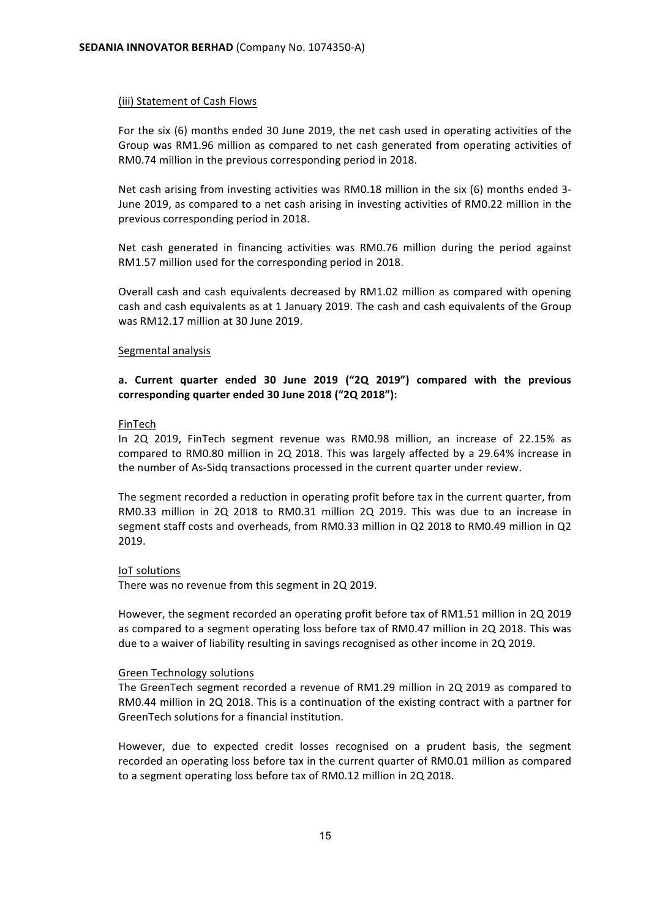#### (iii) Statement of Cash Flows

For the six  $(6)$  months ended 30 June 2019, the net cash used in operating activities of the Group was RM1.96 million as compared to net cash generated from operating activities of RM0.74 million in the previous corresponding period in 2018.

Net cash arising from investing activities was RM0.18 million in the six  $(6)$  months ended 3-June 2019, as compared to a net cash arising in investing activities of RM0.22 million in the previous corresponding period in 2018.

Net cash generated in financing activities was RM0.76 million during the period against RM1.57 million used for the corresponding period in 2018.

Overall cash and cash equivalents decreased by RM1.02 million as compared with opening cash and cash equivalents as at 1 January 2019. The cash and cash equivalents of the Group was RM12.17 million at 30 June 2019.

#### Segmental analysis

# a. Current quarter ended 30 June 2019 ("2Q 2019") compared with the previous corresponding quarter ended 30 June 2018 ("2Q 2018"):

#### FinTech

In 2Q 2019, FinTech segment revenue was RM0.98 million, an increase of 22.15% as compared to RM0.80 million in 2Q 2018. This was largely affected by a 29.64% increase in the number of As-Sidq transactions processed in the current quarter under review.

The segment recorded a reduction in operating profit before tax in the current quarter, from RM0.33 million in 2Q 2018 to RM0.31 million 2Q 2019. This was due to an increase in segment staff costs and overheads, from RM0.33 million in Q2 2018 to RM0.49 million in Q2 2019.

#### IoT solutions

There was no revenue from this segment in 2Q 2019.

However, the segment recorded an operating profit before tax of RM1.51 million in 2Q 2019 as compared to a segment operating loss before tax of RM0.47 million in 2Q 2018. This was due to a waiver of liability resulting in savings recognised as other income in 2Q 2019.

#### Green Technology solutions

The GreenTech segment recorded a revenue of RM1.29 million in 2Q 2019 as compared to RM0.44 million in 2Q 2018. This is a continuation of the existing contract with a partner for GreenTech solutions for a financial institution.

However, due to expected credit losses recognised on a prudent basis, the segment recorded an operating loss before tax in the current quarter of RM0.01 million as compared to a segment operating loss before tax of RM0.12 million in 2Q 2018.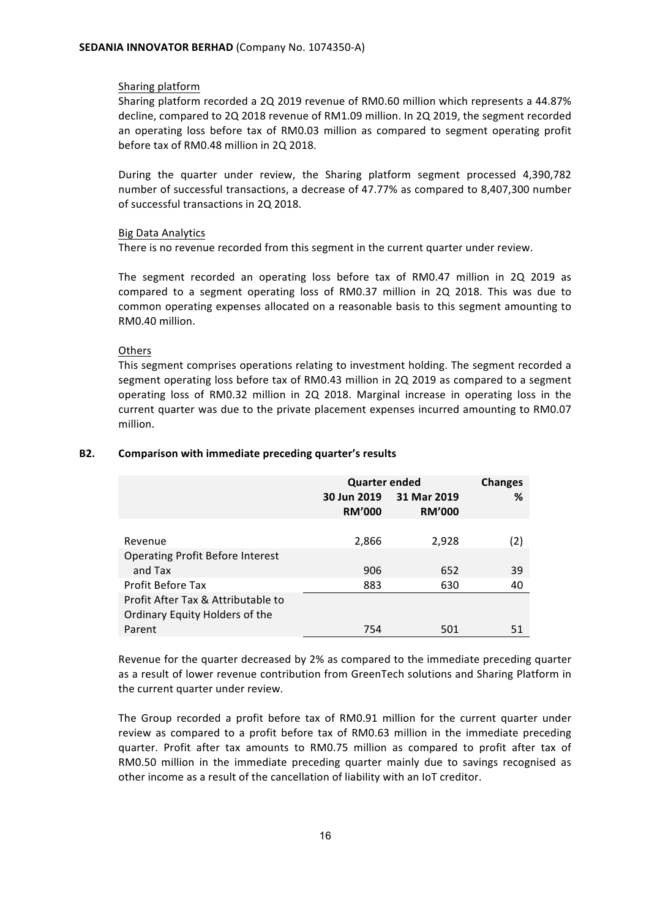#### Sharing platform

Sharing platform recorded a 2Q 2019 revenue of RM0.60 million which represents a 44.87% decline, compared to 2Q 2018 revenue of RM1.09 million. In 2Q 2019, the segment recorded an operating loss before tax of RM0.03 million as compared to segment operating profit before tax of RM0.48 million in 2Q 2018.

During the quarter under review, the Sharing platform segment processed 4,390,782 number of successful transactions, a decrease of 47.77% as compared to 8,407,300 number of successful transactions in 2Q 2018.

#### **Big Data Analytics**

There is no revenue recorded from this segment in the current quarter under review.

The segment recorded an operating loss before tax of RM0.47 million in 2Q 2019 as compared to a segment operating loss of RM0.37 million in 2Q 2018. This was due to common operating expenses allocated on a reasonable basis to this segment amounting to RM0.40 million.

#### **Others**

This segment comprises operations relating to investment holding. The segment recorded a segment operating loss before tax of RM0.43 million in 2Q 2019 as compared to a segment operating loss of RM0.32 million in 2Q 2018. Marginal increase in operating loss in the current quarter was due to the private placement expenses incurred amounting to RM0.07 million.

|                                         | <b>Quarter ended</b>         | <b>Changes</b>               |     |
|-----------------------------------------|------------------------------|------------------------------|-----|
|                                         | 30 Jun 2019<br><b>RM'000</b> | 31 Mar 2019<br><b>RM'000</b> | ℅   |
|                                         |                              |                              |     |
| Revenue                                 | 2,866                        | 2,928                        | (2) |
| <b>Operating Profit Before Interest</b> |                              |                              |     |
| and Tax                                 | 906                          | 652                          | 39  |
| <b>Profit Before Tax</b>                | 883                          | 630                          | 40  |
| Profit After Tax & Attributable to      |                              |                              |     |
| Ordinary Equity Holders of the          |                              |                              |     |
| Parent                                  | 754                          | 501                          | 51  |

#### **B2.** Comparison with immediate preceding quarter's results

Revenue for the quarter decreased by 2% as compared to the immediate preceding quarter as a result of lower revenue contribution from GreenTech solutions and Sharing Platform in the current quarter under review.

The Group recorded a profit before tax of RM0.91 million for the current quarter under review as compared to a profit before tax of RM0.63 million in the immediate preceding quarter. Profit after tax amounts to RM0.75 million as compared to profit after tax of RM0.50 million in the immediate preceding quarter mainly due to savings recognised as other income as a result of the cancellation of liability with an IoT creditor.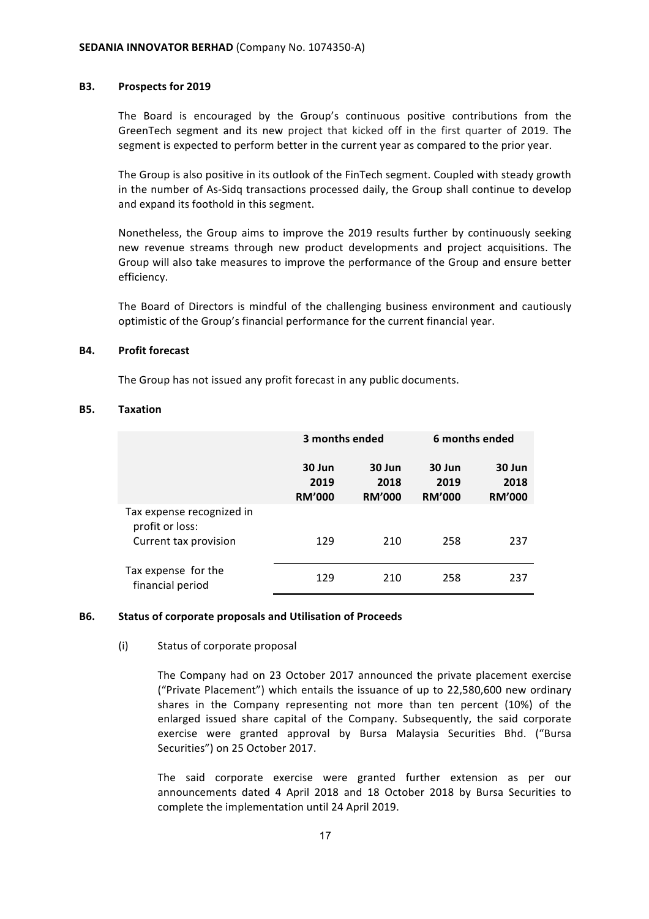#### **B3.** Prospects for 2019

The Board is encouraged by the Group's continuous positive contributions from the GreenTech segment and its new project that kicked off in the first quarter of 2019. The segment is expected to perform better in the current year as compared to the prior year.

The Group is also positive in its outlook of the FinTech segment. Coupled with steady growth in the number of As-Sidg transactions processed daily, the Group shall continue to develop and expand its foothold in this segment.

Nonetheless, the Group aims to improve the 2019 results further by continuously seeking new revenue streams through new product developments and project acquisitions. The Group will also take measures to improve the performance of the Group and ensure better efficiency.

The Board of Directors is mindful of the challenging business environment and cautiously optimistic of the Group's financial performance for the current financial year.

#### **B4.** Profit forecast

The Group has not issued any profit forecast in any public documents.

#### **B5. Taxation**

|                                                                       | 3 months ended                  |                                 | 6 months ended                  |                                 |
|-----------------------------------------------------------------------|---------------------------------|---------------------------------|---------------------------------|---------------------------------|
|                                                                       | 30 Jun<br>2019<br><b>RM'000</b> | 30 Jun<br>2018<br><b>RM'000</b> | 30 Jun<br>2019<br><b>RM'000</b> | 30 Jun<br>2018<br><b>RM'000</b> |
| Tax expense recognized in<br>profit or loss:<br>Current tax provision | 129                             | 210                             | 258                             | 237                             |
| Tax expense for the<br>financial period                               | 129                             | 210                             | 258                             | 237                             |

#### **B6.** Status of corporate proposals and Utilisation of Proceeds

#### (i) Status of corporate proposal

The Company had on 23 October 2017 announced the private placement exercise ("Private Placement") which entails the issuance of up to  $22,580,600$  new ordinary shares in the Company representing not more than ten percent  $(10%)$  of the enlarged issued share capital of the Company. Subsequently, the said corporate exercise were granted approval by Bursa Malaysia Securities Bhd. ("Bursa Securities") on 25 October 2017.

The said corporate exercise were granted further extension as per our announcements dated 4 April 2018 and 18 October 2018 by Bursa Securities to complete the implementation until 24 April 2019.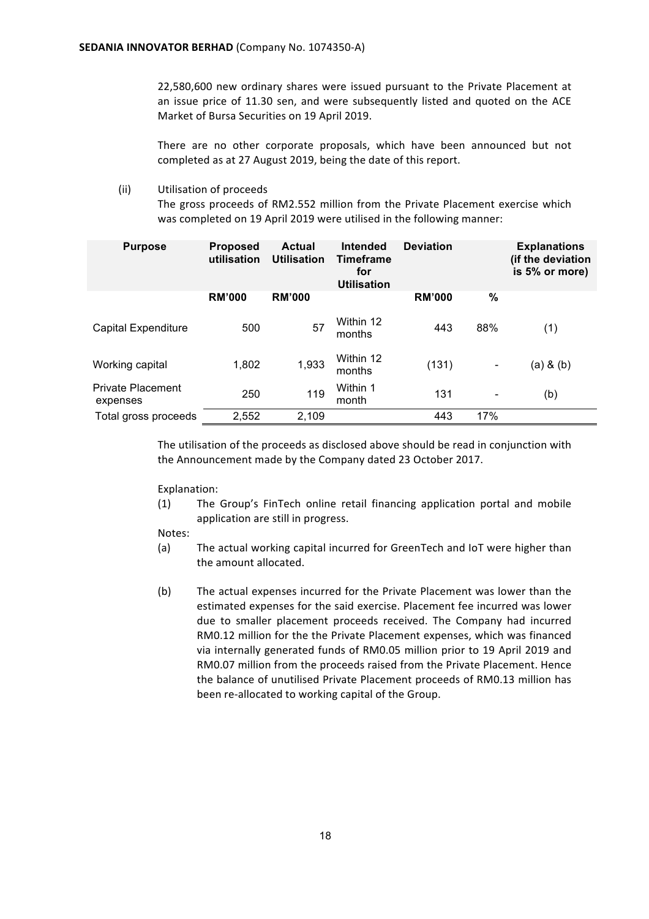22,580,600 new ordinary shares were issued pursuant to the Private Placement at an issue price of 11.30 sen, and were subsequently listed and quoted on the ACE Market of Bursa Securities on 19 April 2019.

There are no other corporate proposals, which have been announced but not completed as at 27 August 2019, being the date of this report.

(ii) Utilisation of proceeds

The gross proceeds of RM2.552 million from the Private Placement exercise which was completed on 19 April 2019 were utilised in the following manner:

| <b>Purpose</b>                       | <b>Proposed</b><br>utilisation | <b>Actual</b><br><b>Utilisation</b> | Intended<br><b>Timeframe</b><br>for<br><b>Utilisation</b> | <b>Deviation</b> |      | <b>Explanations</b><br>(if the deviation<br>is 5% or more) |
|--------------------------------------|--------------------------------|-------------------------------------|-----------------------------------------------------------|------------------|------|------------------------------------------------------------|
|                                      | <b>RM'000</b>                  | <b>RM'000</b>                       |                                                           | <b>RM'000</b>    | $\%$ |                                                            |
| <b>Capital Expenditure</b>           | 500                            | 57                                  | Within 12<br>months                                       | 443              | 88%  | (1)                                                        |
| Working capital                      | 1,802                          | 1,933                               | Within 12<br>months                                       | (131)            | -    | $(a)$ & $(b)$                                              |
| <b>Private Placement</b><br>expenses | 250                            | 119                                 | Within 1<br>month                                         | 131              | -    | (b)                                                        |
| Total gross proceeds                 | 2,552                          | 2,109                               |                                                           | 443              | 17%  |                                                            |

The utilisation of the proceeds as disclosed above should be read in conjunction with the Announcement made by the Company dated 23 October 2017.

Explanation:

(1) The Group's FinTech online retail financing application portal and mobile application are still in progress.

Notes:

- (a) The actual working capital incurred for GreenTech and IoT were higher than the amount allocated.
- (b) The actual expenses incurred for the Private Placement was lower than the estimated expenses for the said exercise. Placement fee incurred was lower due to smaller placement proceeds received. The Company had incurred RM0.12 million for the the Private Placement expenses, which was financed via internally generated funds of RM0.05 million prior to 19 April 2019 and RM0.07 million from the proceeds raised from the Private Placement. Hence the balance of unutilised Private Placement proceeds of RM0.13 million has been re-allocated to working capital of the Group.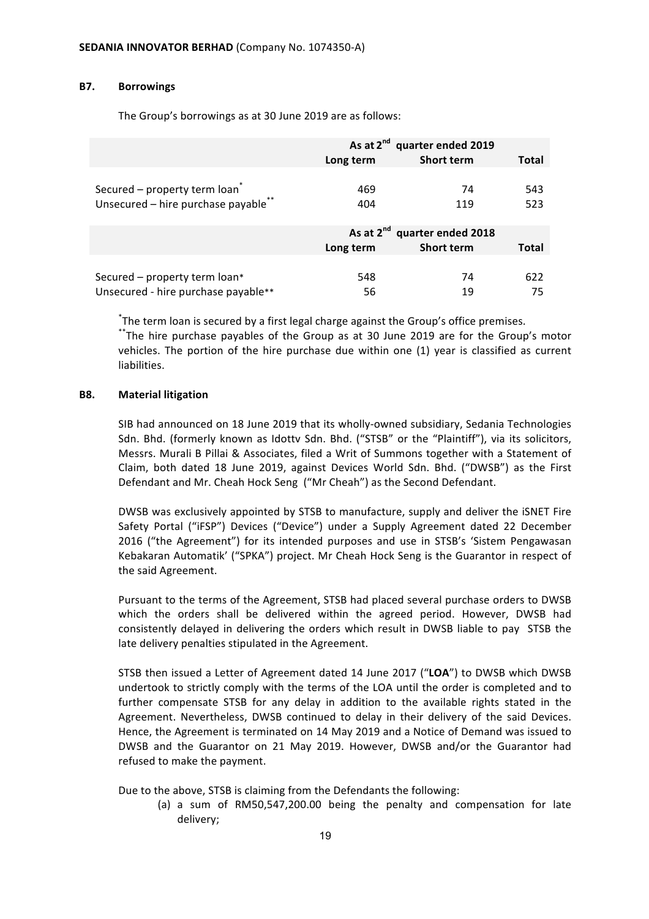#### **B7. Borrowings**

The Group's borrowings as at 30 June 2019 are as follows:

|                                           |           | As at 2 <sup>nd</sup> quarter ended 2019 |       |
|-------------------------------------------|-----------|------------------------------------------|-------|
|                                           | Long term | <b>Short term</b>                        | Total |
|                                           |           |                                          |       |
| Secured - property term loan <sup>*</sup> | 469       | 74                                       | 543   |
| Unsecured - hire purchase payable**       | 404       | 119                                      | 523   |
|                                           |           |                                          |       |
|                                           |           | As at 2 <sup>nd</sup> quarter ended 2018 |       |
|                                           | Long term | <b>Short term</b>                        | Total |
|                                           |           |                                          |       |
| Secured - property term loan*             | 548       | 74                                       | 622   |
| Unsecured - hire purchase payable**       | 56        | 19                                       | 75    |

\*The term loan is secured by a first legal charge against the Group's office premises.

\*\*The hire purchase payables of the Group as at 30 June 2019 are for the Group's motor vehicles. The portion of the hire purchase due within one (1) year is classified as current liabilities.

#### **B8. Material litigation**

SIB had announced on 18 June 2019 that its wholly-owned subsidiary, Sedania Technologies Sdn. Bhd. (formerly known as Idottv Sdn. Bhd. ("STSB" or the "Plaintiff"), via its solicitors, Messrs. Murali B Pillai & Associates, filed a Writ of Summons together with a Statement of Claim, both dated 18 June 2019, against Devices World Sdn. Bhd. ("DWSB") as the First Defendant and Mr. Cheah Hock Seng ("Mr Cheah") as the Second Defendant.

DWSB was exclusively appointed by STSB to manufacture, supply and deliver the iSNET Fire Safety Portal ("iFSP") Devices ("Device") under a Supply Agreement dated 22 December 2016 ("the Agreement") for its intended purposes and use in STSB's 'Sistem Pengawasan Kebakaran Automatik' ("SPKA") project. Mr Cheah Hock Seng is the Guarantor in respect of the said Agreement.

Pursuant to the terms of the Agreement, STSB had placed several purchase orders to DWSB which the orders shall be delivered within the agreed period. However, DWSB had consistently delayed in delivering the orders which result in DWSB liable to pay STSB the late delivery penalties stipulated in the Agreement.

STSB then issued a Letter of Agreement dated 14 June 2017 ("LOA") to DWSB which DWSB undertook to strictly comply with the terms of the LOA until the order is completed and to further compensate STSB for any delay in addition to the available rights stated in the Agreement. Nevertheless, DWSB continued to delay in their delivery of the said Devices. Hence, the Agreement is terminated on 14 May 2019 and a Notice of Demand was issued to DWSB and the Guarantor on 21 May 2019. However, DWSB and/or the Guarantor had refused to make the payment.

Due to the above, STSB is claiming from the Defendants the following:

(a) a sum of RM50,547,200.00 being the penalty and compensation for late delivery;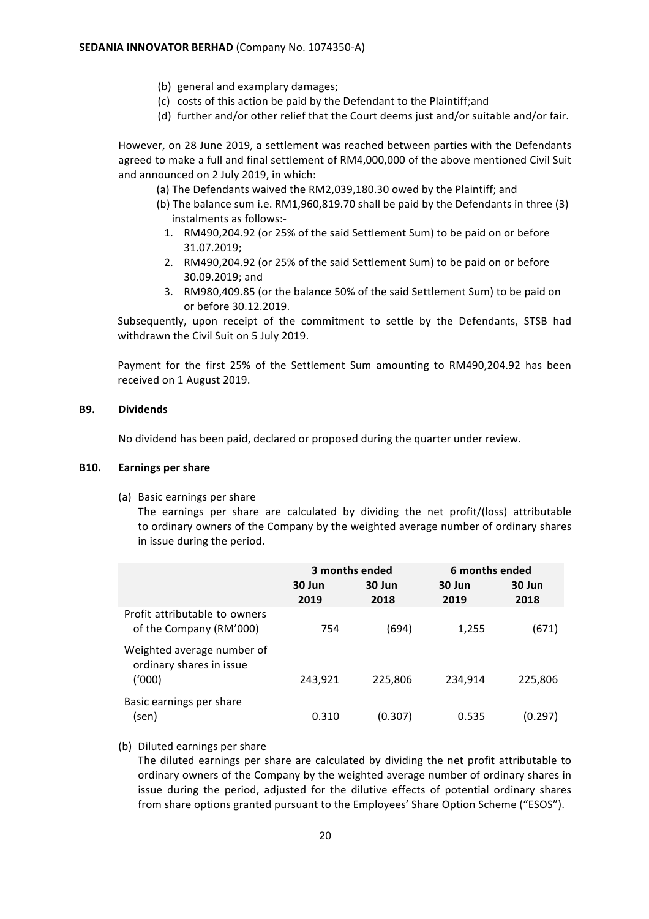- (b) general and examplary damages;
- (c) costs of this action be paid by the Defendant to the Plaintiff;and
- (d) further and/or other relief that the Court deems just and/or suitable and/or fair.

However, on 28 June 2019, a settlement was reached between parties with the Defendants agreed to make a full and final settlement of RM4,000,000 of the above mentioned Civil Suit and announced on 2 July 2019, in which:

- (a) The Defendants waived the RM2,039,180.30 owed by the Plaintiff; and
- (b) The balance sum i.e.  $RM1,960,819.70$  shall be paid by the Defendants in three  $(3)$ instalments as follows:-
	- 1. RM490,204.92 (or 25% of the said Settlement Sum) to be paid on or before 31.07.2019;
	- 2. RM490,204.92 (or 25% of the said Settlement Sum) to be paid on or before 30.09.2019; and
	- 3. RM980,409.85 (or the balance 50% of the said Settlement Sum) to be paid on or before 30.12.2019.

Subsequently, upon receipt of the commitment to settle by the Defendants, STSB had withdrawn the Civil Suit on 5 July 2019.

Payment for the first 25% of the Settlement Sum amounting to RM490,204.92 has been received on 1 August 2019.

#### **B9. Dividends**

No dividend has been paid, declared or proposed during the quarter under review.

#### **B10. Earnings per share**

(a) Basic earnings per share

The earnings per share are calculated by dividing the net profit/(loss) attributable to ordinary owners of the Company by the weighted average number of ordinary shares in issue during the period.

|                                                          | 3 months ended |                | 6 months ended |                |
|----------------------------------------------------------|----------------|----------------|----------------|----------------|
|                                                          | 30 Jun<br>2019 | 30 Jun<br>2018 | 30 Jun<br>2019 | 30 Jun<br>2018 |
| Profit attributable to owners<br>of the Company (RM'000) | 754            | (694)          | 1,255          | (671)          |
| Weighted average number of<br>ordinary shares in issue   |                |                |                |                |
| ('000)                                                   | 243,921        | 225,806        | 234,914        | 225,806        |
| Basic earnings per share                                 |                |                |                |                |
| (sen)                                                    | 0.310          | (0.307)        | 0.535          | (0.297)        |

(b) Diluted earnings per share

The diluted earnings per share are calculated by dividing the net profit attributable to ordinary owners of the Company by the weighted average number of ordinary shares in issue during the period, adjusted for the dilutive effects of potential ordinary shares from share options granted pursuant to the Employees' Share Option Scheme ("ESOS").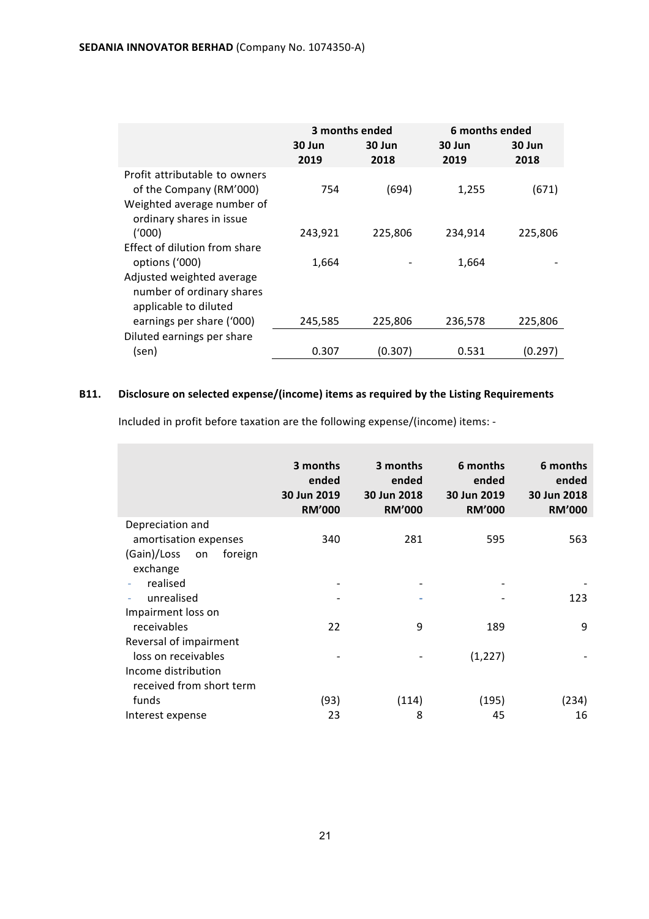|                                                                                                                    | 30 Jun<br>2019 | 3 months ended<br>30 Jun<br>2018 | 6 months ended<br>30 Jun<br>2019 | 30 Jun<br>2018 |
|--------------------------------------------------------------------------------------------------------------------|----------------|----------------------------------|----------------------------------|----------------|
| Profit attributable to owners<br>of the Company (RM'000)<br>Weighted average number of<br>ordinary shares in issue | 754            | (694)                            | 1,255                            | (671)          |
| (1000)                                                                                                             | 243,921        | 225,806                          | 234,914                          | 225,806        |
| Effect of dilution from share                                                                                      |                |                                  |                                  |                |
| options ('000)                                                                                                     | 1,664          |                                  | 1,664                            |                |
| Adjusted weighted average<br>number of ordinary shares<br>applicable to diluted                                    |                |                                  |                                  |                |
| earnings per share ('000)                                                                                          | 245,585        | 225,806                          | 236,578                          | 225,806        |
| Diluted earnings per share                                                                                         |                |                                  |                                  |                |
| (sen)                                                                                                              | 0.307          | (0.307)                          | 0.531                            | (0.297)        |

# B11. Disclosure on selected expense/(income) items as required by the Listing Requirements

Included in profit before taxation are the following expense/(income) items: -

|                                                                                                   | 3 months<br>ended<br>30 Jun 2019<br><b>RM'000</b> | 3 months<br>ended<br>30 Jun 2018<br><b>RM'000</b> | 6 months<br>ended<br>30 Jun 2019<br><b>RM'000</b> | 6 months<br>ended<br>30 Jun 2018<br><b>RM'000</b> |
|---------------------------------------------------------------------------------------------------|---------------------------------------------------|---------------------------------------------------|---------------------------------------------------|---------------------------------------------------|
| Depreciation and<br>amortisation expenses<br>(Gain)/Loss<br>foreign<br>on<br>exchange<br>realised | 340                                               | 281                                               | 595                                               | 563                                               |
| unrealised<br>Impairment loss on                                                                  |                                                   |                                                   |                                                   | 123                                               |
| receivables<br>Reversal of impairment                                                             | 22                                                | 9                                                 | 189                                               | 9                                                 |
| loss on receivables<br>Income distribution<br>received from short term                            |                                                   |                                                   | (1, 227)                                          |                                                   |
| funds                                                                                             | (93)                                              | (114)                                             | (195)                                             | (234)                                             |
| Interest expense                                                                                  | 23                                                | 8                                                 | 45                                                | 16                                                |